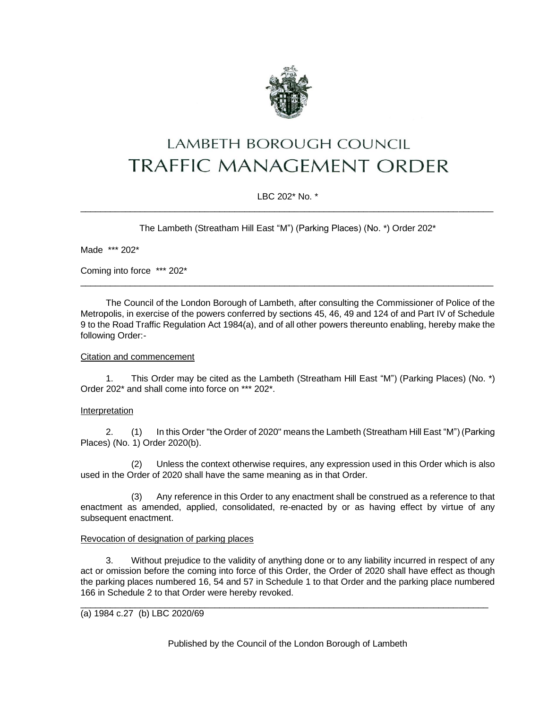

# LAMBETH BOROUGH COUNCIL **TRAFFIC MANAGEMENT ORDER**

# LBC 202\* No. \* \_\_\_\_\_\_\_\_\_\_\_\_\_\_\_\_\_\_\_\_\_\_\_\_\_\_\_\_\_\_\_\_\_\_\_\_\_\_\_\_\_\_\_\_\_\_\_\_\_\_\_\_\_\_\_\_\_\_\_\_\_\_\_\_\_\_\_\_\_\_\_\_\_\_\_\_\_\_\_\_\_\_\_

The Lambeth (Streatham Hill East "M") (Parking Places) (No. \*) Order 202\*

Made \*\*\* 202\*

Coming into force \*\*\* 202\*

The Council of the London Borough of Lambeth, after consulting the Commissioner of Police of the Metropolis, in exercise of the powers conferred by sections 45, 46, 49 and 124 of and Part IV of Schedule 9 to the Road Traffic Regulation Act 1984(a), and of all other powers thereunto enabling, hereby make the following Order:-

 $\_$  ,  $\_$  ,  $\_$  ,  $\_$  ,  $\_$  ,  $\_$  ,  $\_$  ,  $\_$  ,  $\_$  ,  $\_$  ,  $\_$  ,  $\_$  ,  $\_$  ,  $\_$  ,  $\_$  ,  $\_$  ,  $\_$  ,  $\_$  ,  $\_$  ,  $\_$  ,  $\_$  ,  $\_$  ,  $\_$  ,  $\_$  ,  $\_$  ,  $\_$  ,  $\_$  ,  $\_$  ,  $\_$  ,  $\_$  ,  $\_$  ,  $\_$  ,  $\_$  ,  $\_$  ,  $\_$  ,  $\_$  ,  $\_$  ,

## Citation and commencement

1. This Order may be cited as the Lambeth (Streatham Hill East "M") (Parking Places) (No. \*) Order 202\* and shall come into force on \*\*\* 202\*.

### Interpretation

2. (1) In this Order "the Order of 2020" means the Lambeth (Streatham Hill East "M") (Parking Places) (No. 1) Order 2020(b).

(2) Unless the context otherwise requires, any expression used in this Order which is also used in the Order of 2020 shall have the same meaning as in that Order.

(3) Any reference in this Order to any enactment shall be construed as a reference to that enactment as amended, applied, consolidated, re-enacted by or as having effect by virtue of any subsequent enactment.

### Revocation of designation of parking places

3. Without prejudice to the validity of anything done or to any liability incurred in respect of any act or omission before the coming into force of this Order, the Order of 2020 shall have effect as though the parking places numbered 16, 54 and 57 in Schedule 1 to that Order and the parking place numbered 166 in Schedule 2 to that Order were hereby revoked.

\_\_\_\_\_\_\_\_\_\_\_\_\_\_\_\_\_\_\_\_\_\_\_\_\_\_\_\_\_\_\_\_\_\_\_\_\_\_\_\_\_\_\_\_\_\_\_\_\_\_\_\_\_\_\_\_\_\_\_\_\_\_\_\_\_\_\_\_\_\_\_\_\_\_\_\_\_\_\_\_\_\_

### (a) 1984 c.27 (b) LBC 2020/69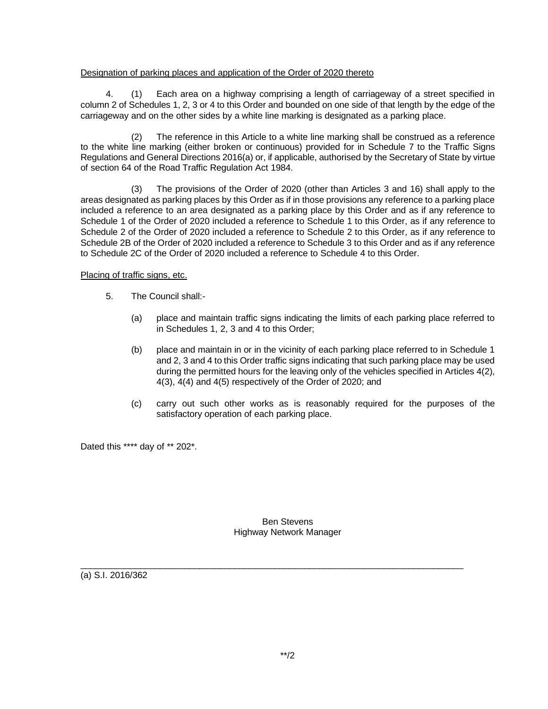## Designation of parking places and application of the Order of 2020 thereto

4. (1) Each area on a highway comprising a length of carriageway of a street specified in column 2 of Schedules 1, 2, 3 or 4 to this Order and bounded on one side of that length by the edge of the carriageway and on the other sides by a white line marking is designated as a parking place.

(2) The reference in this Article to a white line marking shall be construed as a reference to the white line marking (either broken or continuous) provided for in Schedule 7 to the Traffic Signs Regulations and General Directions 2016(a) or, if applicable, authorised by the Secretary of State by virtue of section 64 of the Road Traffic Regulation Act 1984.

(3) The provisions of the Order of 2020 (other than Articles 3 and 16) shall apply to the areas designated as parking places by this Order as if in those provisions any reference to a parking place included a reference to an area designated as a parking place by this Order and as if any reference to Schedule 1 of the Order of 2020 included a reference to Schedule 1 to this Order, as if any reference to Schedule 2 of the Order of 2020 included a reference to Schedule 2 to this Order, as if any reference to Schedule 2B of the Order of 2020 included a reference to Schedule 3 to this Order and as if any reference to Schedule 2C of the Order of 2020 included a reference to Schedule 4 to this Order.

## Placing of traffic signs, etc.

- 5. The Council shall:-
	- (a) place and maintain traffic signs indicating the limits of each parking place referred to in Schedules 1, 2, 3 and 4 to this Order;
	- (b) place and maintain in or in the vicinity of each parking place referred to in Schedule 1 and 2, 3 and 4 to this Order traffic signs indicating that such parking place may be used during the permitted hours for the leaving only of the vehicles specified in Articles 4(2), 4(3), 4(4) and 4(5) respectively of the Order of 2020; and
	- (c) carry out such other works as is reasonably required for the purposes of the satisfactory operation of each parking place.

Dated this \*\*\*\* day of \*\* 202\*.

Ben Stevens Highway Network Manager

 $\_$  ,  $\_$  ,  $\_$  ,  $\_$  ,  $\_$  ,  $\_$  ,  $\_$  ,  $\_$  ,  $\_$  ,  $\_$  ,  $\_$  ,  $\_$  ,  $\_$  ,  $\_$  ,  $\_$  ,  $\_$  ,  $\_$  ,  $\_$  ,  $\_$  ,  $\_$  ,  $\_$  ,  $\_$  ,  $\_$  ,  $\_$  ,  $\_$  ,  $\_$  ,  $\_$  ,  $\_$  ,  $\_$  ,  $\_$  ,  $\_$  ,  $\_$  ,  $\_$  ,  $\_$  ,  $\_$  ,  $\_$  ,  $\_$  ,

(a) S.I. 2016/362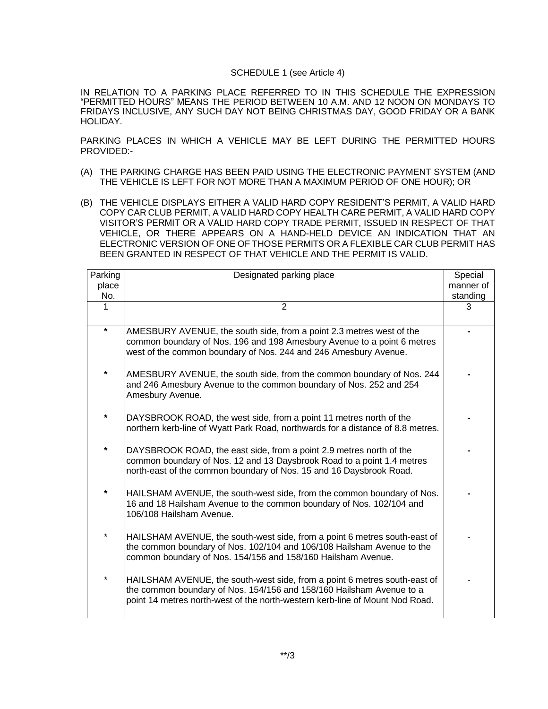#### SCHEDULE 1 (see Article 4)

IN RELATION TO A PARKING PLACE REFERRED TO IN THIS SCHEDULE THE EXPRESSION "PERMITTED HOURS" MEANS THE PERIOD BETWEEN 10 A.M. AND 12 NOON ON MONDAYS TO FRIDAYS INCLUSIVE, ANY SUCH DAY NOT BEING CHRISTMAS DAY, GOOD FRIDAY OR A BANK HOLIDAY.

PARKING PLACES IN WHICH A VEHICLE MAY BE LEFT DURING THE PERMITTED HOURS PROVIDED:-

- (A) THE PARKING CHARGE HAS BEEN PAID USING THE ELECTRONIC PAYMENT SYSTEM (AND THE VEHICLE IS LEFT FOR NOT MORE THAN A MAXIMUM PERIOD OF ONE HOUR); OR
- (B) THE VEHICLE DISPLAYS EITHER A VALID HARD COPY RESIDENT'S PERMIT, A VALID HARD COPY CAR CLUB PERMIT, A VALID HARD COPY HEALTH CARE PERMIT, A VALID HARD COPY VISITOR'S PERMIT OR A VALID HARD COPY TRADE PERMIT, ISSUED IN RESPECT OF THAT VEHICLE, OR THERE APPEARS ON A HAND-HELD DEVICE AN INDICATION THAT AN ELECTRONIC VERSION OF ONE OF THOSE PERMITS OR A FLEXIBLE CAR CLUB PERMIT HAS BEEN GRANTED IN RESPECT OF THAT VEHICLE AND THE PERMIT IS VALID.

| Parking  | Designated parking place                                                                                                                                                                                                          | Special   |
|----------|-----------------------------------------------------------------------------------------------------------------------------------------------------------------------------------------------------------------------------------|-----------|
| place    |                                                                                                                                                                                                                                   | manner of |
| No.      |                                                                                                                                                                                                                                   | standing  |
| 1        | $\overline{2}$                                                                                                                                                                                                                    | 3         |
| $\star$  | AMESBURY AVENUE, the south side, from a point 2.3 metres west of the<br>common boundary of Nos. 196 and 198 Amesbury Avenue to a point 6 metres<br>west of the common boundary of Nos. 244 and 246 Amesbury Avenue.               |           |
| $^\star$ | AMESBURY AVENUE, the south side, from the common boundary of Nos. 244<br>and 246 Amesbury Avenue to the common boundary of Nos. 252 and 254<br>Amesbury Avenue.                                                                   |           |
| $\star$  | DAYSBROOK ROAD, the west side, from a point 11 metres north of the<br>northern kerb-line of Wyatt Park Road, northwards for a distance of 8.8 metres.                                                                             |           |
| $\star$  | DAYSBROOK ROAD, the east side, from a point 2.9 metres north of the<br>common boundary of Nos. 12 and 13 Daysbrook Road to a point 1.4 metres<br>north-east of the common boundary of Nos. 15 and 16 Daysbrook Road.              |           |
| $\star$  | HAILSHAM AVENUE, the south-west side, from the common boundary of Nos.<br>16 and 18 Hailsham Avenue to the common boundary of Nos. 102/104 and<br>106/108 Hailsham Avenue.                                                        |           |
| $\star$  | HAILSHAM AVENUE, the south-west side, from a point 6 metres south-east of<br>the common boundary of Nos. 102/104 and 106/108 Hailsham Avenue to the<br>common boundary of Nos. 154/156 and 158/160 Hailsham Avenue.               |           |
| $^\star$ | HAILSHAM AVENUE, the south-west side, from a point 6 metres south-east of<br>the common boundary of Nos. 154/156 and 158/160 Hailsham Avenue to a<br>point 14 metres north-west of the north-western kerb-line of Mount Nod Road. |           |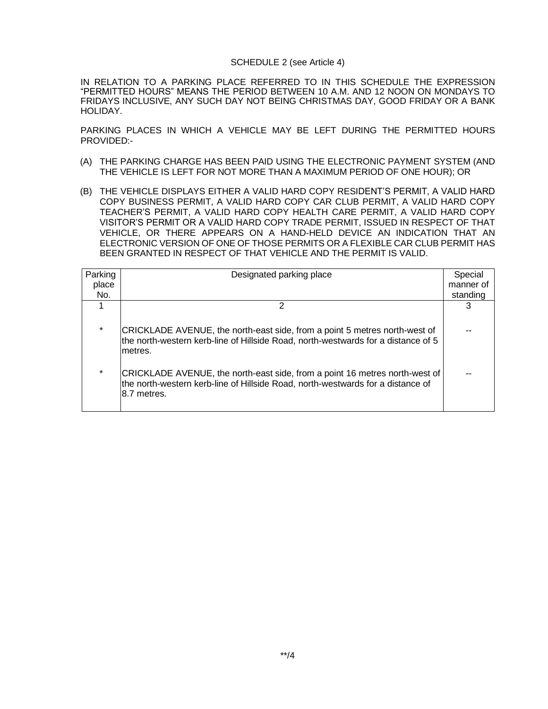#### SCHEDULE 2 (see Article 4)

IN RELATION TO A PARKING PLACE REFERRED TO IN THIS SCHEDULE THE EXPRESSION "PERMITTED HOURS" MEANS THE PERIOD BETWEEN 10 A.M. AND 12 NOON ON MONDAYS TO FRIDAYS INCLUSIVE, ANY SUCH DAY NOT BEING CHRISTMAS DAY, GOOD FRIDAY OR A BANK HOLIDAY.

PARKING PLACES IN WHICH A VEHICLE MAY BE LEFT DURING THE PERMITTED HOURS PROVIDED:-

- (A) THE PARKING CHARGE HAS BEEN PAID USING THE ELECTRONIC PAYMENT SYSTEM (AND THE VEHICLE IS LEFT FOR NOT MORE THAN A MAXIMUM PERIOD OF ONE HOUR); OR
- (B) THE VEHICLE DISPLAYS EITHER A VALID HARD COPY RESIDENT'S PERMIT, A VALID HARD COPY BUSINESS PERMIT, A VALID HARD COPY CAR CLUB PERMIT, A VALID HARD COPY TEACHER'S PERMIT, A VALID HARD COPY HEALTH CARE PERMIT, A VALID HARD COPY VISITOR'S PERMIT OR A VALID HARD COPY TRADE PERMIT, ISSUED IN RESPECT OF THAT VEHICLE, OR THERE APPEARS ON A HAND-HELD DEVICE AN INDICATION THAT AN ELECTRONIC VERSION OF ONE OF THOSE PERMITS OR A FLEXIBLE CAR CLUB PERMIT HAS BEEN GRANTED IN RESPECT OF THAT VEHICLE AND THE PERMIT IS VALID.

| Designated parking place                                                                                                                                                                                                                                                                                                                                    | Special   |
|-------------------------------------------------------------------------------------------------------------------------------------------------------------------------------------------------------------------------------------------------------------------------------------------------------------------------------------------------------------|-----------|
|                                                                                                                                                                                                                                                                                                                                                             | manner of |
|                                                                                                                                                                                                                                                                                                                                                             | standing  |
|                                                                                                                                                                                                                                                                                                                                                             | 3         |
| CRICKLADE AVENUE, the north-east side, from a point 5 metres north-west of<br>the north-western kerb-line of Hillside Road, north-westwards for a distance of 5<br>metres.<br>CRICKLADE AVENUE, the north-east side, from a point 16 metres north-west of<br>the north-western kerb-line of Hillside Road, north-westwards for a distance of<br>8.7 metres. |           |
|                                                                                                                                                                                                                                                                                                                                                             |           |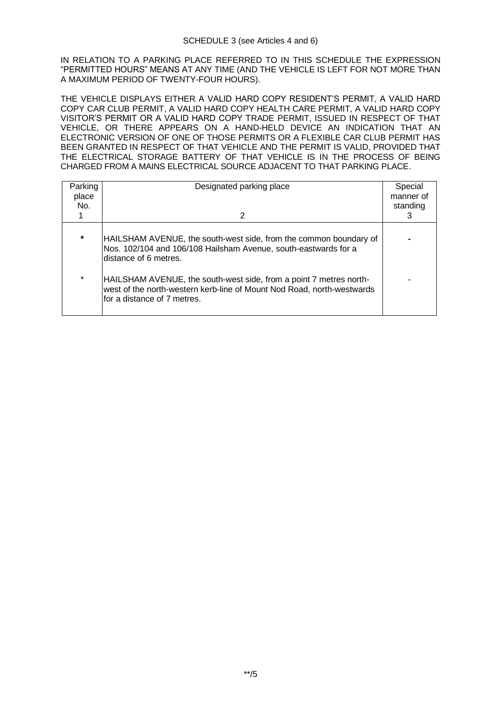IN RELATION TO A PARKING PLACE REFERRED TO IN THIS SCHEDULE THE EXPRESSION "PERMITTED HOURS" MEANS AT ANY TIME (AND THE VEHICLE IS LEFT FOR NOT MORE THAN A MAXIMUM PERIOD OF TWENTY-FOUR HOURS).

THE VEHICLE DISPLAYS EITHER A VALID HARD COPY RESIDENT'S PERMIT, A VALID HARD COPY CAR CLUB PERMIT, A VALID HARD COPY HEALTH CARE PERMIT, A VALID HARD COPY VISITOR'S PERMIT OR A VALID HARD COPY TRADE PERMIT, ISSUED IN RESPECT OF THAT VEHICLE, OR THERE APPEARS ON A HAND-HELD DEVICE AN INDICATION THAT AN ELECTRONIC VERSION OF ONE OF THOSE PERMITS OR A FLEXIBLE CAR CLUB PERMIT HAS BEEN GRANTED IN RESPECT OF THAT VEHICLE AND THE PERMIT IS VALID, PROVIDED THAT THE ELECTRICAL STORAGE BATTERY OF THAT VEHICLE IS IN THE PROCESS OF BEING CHARGED FROM A MAINS ELECTRICAL SOURCE ADJACENT TO THAT PARKING PLACE.

| Parking<br>place<br>No. | Designated parking place<br>2                                                                                                                                               | Special<br>manner of<br>standing<br>З |
|-------------------------|-----------------------------------------------------------------------------------------------------------------------------------------------------------------------------|---------------------------------------|
| $\star$                 | HAILSHAM AVENUE, the south-west side, from the common boundary of<br>Nos. 102/104 and 106/108 Hailsham Avenue, south-eastwards for a<br>ldistance of 6 metres.              |                                       |
| $\star$                 | HAILSHAM AVENUE, the south-west side, from a point 7 metres north-<br>west of the north-western kerb-line of Mount Nod Road, north-westwards<br>for a distance of 7 metres. |                                       |